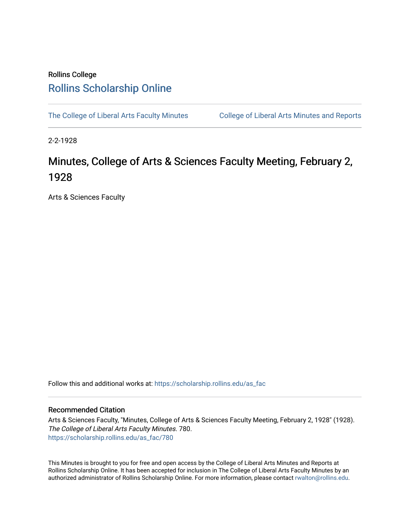## Rollins College [Rollins Scholarship Online](https://scholarship.rollins.edu/)

[The College of Liberal Arts Faculty Minutes](https://scholarship.rollins.edu/as_fac) College of Liberal Arts Minutes and Reports

2-2-1928

## Minutes, College of Arts & Sciences Faculty Meeting, February 2, 1928

Arts & Sciences Faculty

Follow this and additional works at: [https://scholarship.rollins.edu/as\\_fac](https://scholarship.rollins.edu/as_fac?utm_source=scholarship.rollins.edu%2Fas_fac%2F780&utm_medium=PDF&utm_campaign=PDFCoverPages) 

## Recommended Citation

Arts & Sciences Faculty, "Minutes, College of Arts & Sciences Faculty Meeting, February 2, 1928" (1928). The College of Liberal Arts Faculty Minutes. 780. [https://scholarship.rollins.edu/as\\_fac/780](https://scholarship.rollins.edu/as_fac/780?utm_source=scholarship.rollins.edu%2Fas_fac%2F780&utm_medium=PDF&utm_campaign=PDFCoverPages) 

This Minutes is brought to you for free and open access by the College of Liberal Arts Minutes and Reports at Rollins Scholarship Online. It has been accepted for inclusion in The College of Liberal Arts Faculty Minutes by an authorized administrator of Rollins Scholarship Online. For more information, please contact [rwalton@rollins.edu](mailto:rwalton@rollins.edu).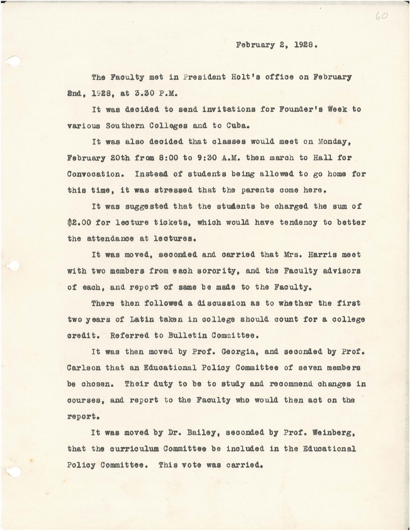The Faculty met in President Holt's office on February 2nd, 1928, at 3.30 P.M.

It was deoided to send invitations for Founder's Week to various Southern Colleges and to Cuba.

It was also deoided that classes would meet on Monday, February 20th from 8:00 to 9:30 A.M. then march to Hall for Convocation. Instead of students being allowed to go home for this time, it was stressed that the parents oome here.

It was suggested that the students be charged the sum of \$2.00 for lecture tickets, which would have tendency to better the attendance at leotures.

It was moved, seconded and oarried that Mrs. Harris meet with two members from eaoh sorority, and the Faoulty advisors of each, and report of same be made to the Faculty.

There then followed a discussion as to whether the first two years of Latin taken in college should count for a college credit. Referred to Bulletin Committee.

It was then moved by Prof. Georgia, and seoonded by Prof. Carlson that an Eduoational Policy Committee of seven members be ohosen. Their duty to be to study and recommend changes in courses, and report to the Faoulty who would then aot on the report.

It was moved by Dr. Bailey, seconded by Prof. Weinberg, that the curriculum Committee be included in the Educational Policy Committee. This vote was carried.